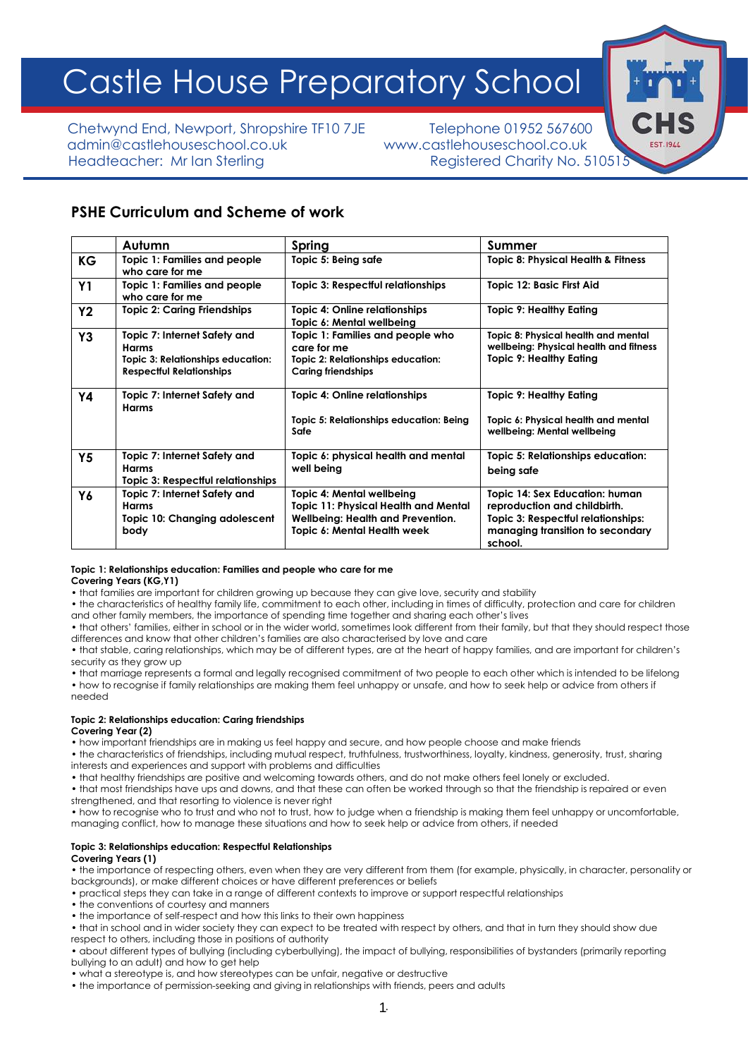# Castle House Preparatory School

Chetwynd End, Newport, Shropshire TF10 7JE Telephone 01952 567600 admin@castlehouseschool.co.uk www.castlehouseschool.co.uk Headteacher: Mr Ian Sterling Theory Registered Charity No. 510515

# **PSHE Curriculum and Scheme of work**

|                | Autumn                                                                                                               | Spring                                                                                                                                       | Summer                                                                                                                                              |
|----------------|----------------------------------------------------------------------------------------------------------------------|----------------------------------------------------------------------------------------------------------------------------------------------|-----------------------------------------------------------------------------------------------------------------------------------------------------|
| КG             | Topic 1: Families and people<br>who care for me                                                                      | Topic 5: Being safe                                                                                                                          | <b>Topic 8: Physical Health &amp; Fitness</b>                                                                                                       |
| <b>Y1</b>      | Topic 1: Families and people<br>who care for me                                                                      | Topic 3: Respectful relationships                                                                                                            | Topic 12: Basic First Aid                                                                                                                           |
| <b>Y2</b>      | <b>Topic 2: Caring Friendships</b>                                                                                   | Topic 4: Online relationships<br>Topic 6: Mental wellbeing                                                                                   | Topic 9: Healthy Eating                                                                                                                             |
| Y3             | Topic 7: Internet Safety and<br><b>Harms</b><br>Topic 3: Relationships education:<br><b>Respectful Relationships</b> | Topic 1: Families and people who<br>care for me<br>Topic 2: Relationships education:<br><b>Caring friendships</b>                            | Topic 8: Physical health and mental<br>wellbeing: Physical health and fitness<br>Topic 9: Healthy Eating                                            |
| Υ4             | Topic 7: Internet Safety and<br><b>Harms</b>                                                                         | Topic 4: Online relationships<br>Topic 5: Relationships education: Being<br>Safe                                                             | Topic 9: Healthy Eating<br>Topic 6: Physical health and mental<br>wellbeing: Mental wellbeing                                                       |
| Y <sub>5</sub> | Topic 7: Internet Safety and<br><b>Harms</b><br>Topic 3: Respectful relationships                                    | Topic 6: physical health and mental<br>well being                                                                                            | Topic 5: Relationships education:<br>being safe                                                                                                     |
| Y6             | Topic 7: Internet Safety and<br><b>Harms</b><br><b>Topic 10: Changing adolescent</b><br>body                         | Topic 4: Mental wellbeing<br><b>Topic 11: Physical Health and Mental</b><br>Wellbeing: Health and Prevention.<br>Topic 6: Mental Health week | Topic 14: Sex Education: human<br>reproduction and childbirth.<br>Topic 3: Respectful relationships:<br>managing transition to secondary<br>school. |

# **Topic 1: Relationships education: Families and people who care for me**

### **Covering Years (KG,Y1)**

• that families are important for children growing up because they can give love, security and stability

• the characteristics of healthy family life, commitment to each other, including in times of difficulty, protection and care for children and other family members, the importance of spending time together and sharing each other's lives

• that others' families, either in school or in the wider world, sometimes look different from their family, but that they should respect those differences and know that other children's families are also characterised by love and care

• that stable, caring relationships, which may be of different types, are at the heart of happy families, and are important for children's security as they grow up

• that marriage represents a formal and legally recognised commitment of two people to each other which is intended to be lifelong • how to recognise if family relationships are making them feel unhappy or unsafe, and how to seek help or advice from others if needed

#### **Topic 2: Relationships education: Caring friendships Covering Year (2)**

• how important friendships are in making us feel happy and secure, and how people choose and make friends

• the characteristics of friendships, including mutual respect, truthfulness, trustworthiness, loyalty, kindness, generosity, trust, sharing interests and experiences and support with problems and difficulties

• that healthy friendships are positive and welcoming towards others, and do not make others feel lonely or excluded.

• that most friendships have ups and downs, and that these can often be worked through so that the friendship is repaired or even strengthened, and that resorting to violence is never right

• how to recognise who to trust and who not to trust, how to judge when a friendship is making them feel unhappy or uncomfortable, managing conflict, how to manage these situations and how to seek help or advice from others, if needed

#### **Topic 3: Relationships education: Respectful Relationships Covering Years (1)**

• the importance of respecting others, even when they are very different from them (for example, physically, in character, personality or backgrounds), or make different choices or have different preferences or beliefs

• practical steps they can take in a range of different contexts to improve or support respectful relationships

• the conventions of courtesy and manners

• the importance of self-respect and how this links to their own happiness

• that in school and in wider society they can expect to be treated with respect by others, and that in turn they should show due respect to others, including those in positions of authority

• about different types of bullying (including cyberbullying), the impact of bullying, responsibilities of bystanders (primarily reporting bullying to an adult) and how to get help

• what a stereotype is, and how stereotypes can be unfair, negative or destructive

• the importance of permission-seeking and giving in relationships with friends, peers and adults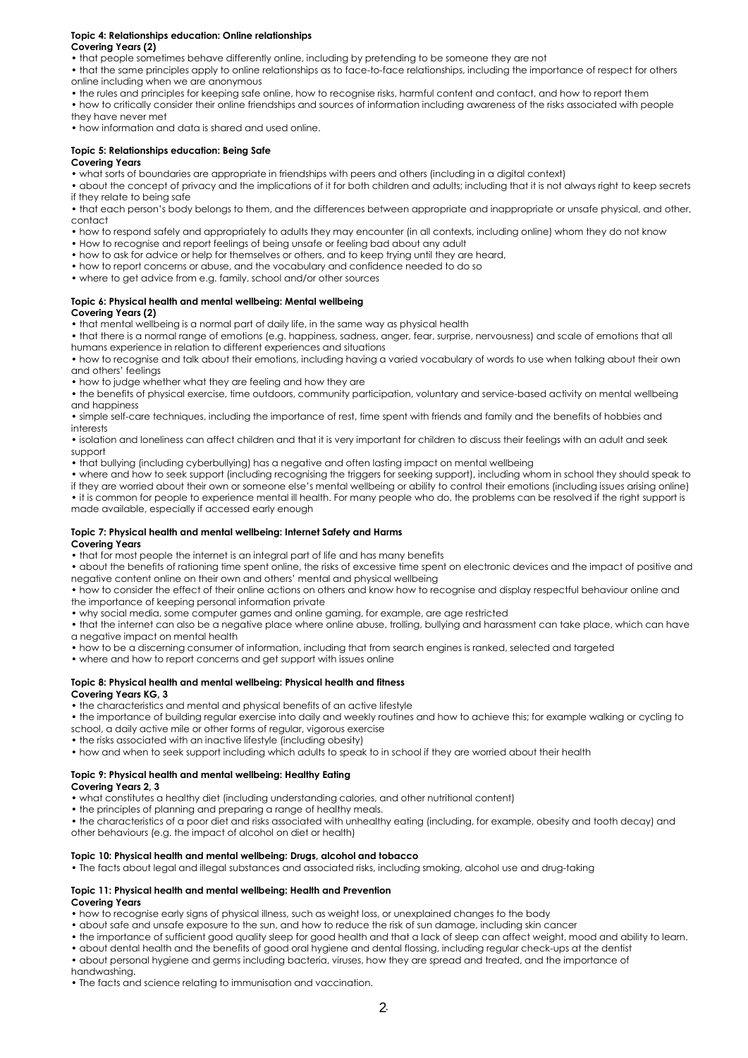#### **Topic 4: Relationships education: Online relationships Covering Years (2)**

• that people sometimes behave differently online, including by pretending to be someone they are not

• that the same principles apply to online relationships as to face-to-face relationships, including the importance of respect for others online including when we are anonymous

• the rules and principles for keeping safe online, how to recognise risks, harmful content and contact, and how to report them

• how to critically consider their online friendships and sources of information including awareness of the risks associated with people they have never met

• how information and data is shared and used online.

## **Topic 5: Relationships education: Being Safe**

**Covering Years** 

• what sorts of boundaries are appropriate in friendships with peers and others (including in a digital context)

• about the concept of privacy and the implications of it for both children and adults; including that it is not always right to keep secrets if they relate to being safe

• that each person's body belongs to them, and the differences between appropriate and inappropriate or unsafe physical, and other, contact

• how to respond safely and appropriately to adults they may encounter (in all contexts, including online) whom they do not know

• How to recognise and report feelings of being unsafe or feeling bad about any adult

• how to ask for advice or help for themselves or others, and to keep trying until they are heard,

• how to report concerns or abuse, and the vocabulary and confidence needed to do so

• where to get advice from e.g. family, school and/or other sources

## **Topic 6: Physical health and mental wellbeing: Mental wellbeing Covering Years (2)**

• that mental wellbeing is a normal part of daily life, in the same way as physical health

• that there is a normal range of emotions (e.g. happiness, sadness, anger, fear, surprise, nervousness) and scale of emotions that all humans experience in relation to different experiences and situations

• how to recognise and talk about their emotions, including having a varied vocabulary of words to use when talking about their own and others' feelings

• how to judge whether what they are feeling and how they are

• the benefits of physical exercise, time outdoors, community participation, voluntary and service-based activity on mental wellbeing and happiness

• simple self-care techniques, including the importance of rest, time spent with friends and family and the benefits of hobbies and interests

• isolation and loneliness can affect children and that it is very important for children to discuss their feelings with an adult and seek support

• that bullying (including cyberbullying) has a negative and often lasting impact on mental wellbeing

• where and how to seek support (including recognising the triggers for seeking support), including whom in school they should speak to if they are worried about their own or someone else's mental wellbeing or ability to control their emotions (including issues arising online)

• it is common for people to experience mental ill health. For many people who do, the problems can be resolved if the right support is made available, especially if accessed early enough

#### **Topic 7: Physical health and mental wellbeing: Internet Safety and Harms Covering Years**

• that for most people the internet is an integral part of life and has many benefits

• about the benefits of rationing time spent online, the risks of excessive time spent on electronic devices and the impact of positive and negative content online on their own and others' mental and physical wellbeing

• how to consider the effect of their online actions on others and know how to recognise and display respectful behaviour online and the importance of keeping personal information private

• why social media, some computer games and online gaming, for example, are age restricted

• that the internet can also be a negative place where online abuse, trolling, bullying and harassment can take place, which can have a negative impact on mental health

• how to be a discerning consumer of information, including that from search engines is ranked, selected and targeted

• where and how to report concerns and get support with issues online

# **Topic 8: Physical health and mental wellbeing: Physical health and fitness**

**Covering Years KG, 3**

• the characteristics and mental and physical benefits of an active lifestyle

• the importance of building regular exercise into daily and weekly routines and how to achieve this; for example walking or cycling to school, a daily active mile or other forms of regular, vigorous exercise

• the risks associated with an inactive lifestyle (including obesity)

• how and when to seek support including which adults to speak to in school if they are worried about their health

# **Topic 9: Physical health and mental wellbeing: Healthy Eating**

## **Covering Years 2, 3**

• what constitutes a healthy diet (including understanding calories, and other nutritional content)

• the principles of planning and preparing a range of healthy meals. • the characteristics of a poor diet and risks associated with unhealthy eating (including, for example, obesity and tooth decay) and

other behaviours (e.g. the impact of alcohol on diet or health)

# **Topic 10: Physical health and mental wellbeing: Drugs, alcohol and tobacco**

• The facts about legal and illegal substances and associated risks, including smoking, alcohol use and drug-taking

# **Topic 11: Physical health and mental wellbeing: Health and Prevention**

**Covering Years** 

• how to recognise early signs of physical illness, such as weight loss, or unexplained changes to the body

• about safe and unsafe exposure to the sun, and how to reduce the risk of sun damage, including skin cancer

• the importance of sufficient good quality sleep for good health and that a lack of sleep can affect weight, mood and ability to learn.

• about dental health and the benefits of good oral hygiene and dental flossing, including regular check-ups at the dentist

• about personal hygiene and germs including bacteria, viruses, how they are spread and treated, and the importance of

handwashing.

• The facts and science relating to immunisation and vaccination.